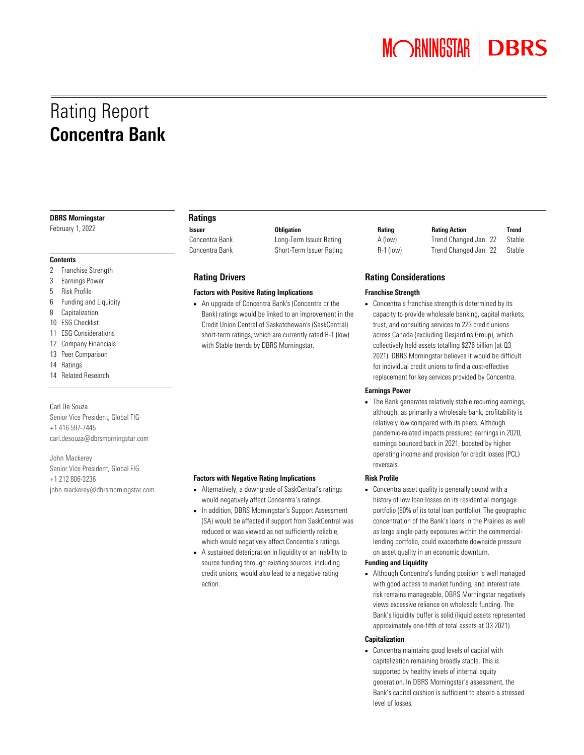**MORNINGSTAR** 

# Rating Report Concentra Bank

#### DBRS Morningstar

February 1, 2022

#### **Contents**

- 2 Franchise Strength
- 3 Earnings Power
- 5 Risk Profile
- 6 Funding and Liquidity
- 8 Capitalization
- 10 ESG Checklist
- 11 ESG Considerations
- 12 Company Financials
- 13 Peer Comparison
- 14 Ratings
- 14 Related Research

#### Carl De Souza

Senior Vice President, Global FIG +1 416 597-7445 carl.desouza@dbrsmorningstar.com

John Mackerey Senior Vice President, Global FIG +1 212 806-3236 john.mackerey@dbrsmorningstar.com

#### Ratings

Concentra Bank Long-Term Issuer Rating Concentra Bank Short-Term Issuer Rating

#### Rating Drivers

#### Factors with Positive Rating Implications

• An upgrade of Concentra Bank's (Concentra or the Bank) ratings would be linked to an improvement in the Credit Union Central of Saskatchewan's (SaskCentral) short-term ratings, which are currently rated R-1 (low) with Stable trends by DBRS Morningstar.

#### Factors with Negative Rating Implications

- Alternatively, a downgrade of SaskCentral's ratings would negatively affect Concentra's ratings.
- In addition, DBRS Morningstar's Support Assessment (SA) would be affected if support from SaskCentral was reduced or was viewed as not sufficiently reliable, which would negatively affect Concentra's ratings.
- A sustained deterioration in liquidity or an inability to source funding through existing sources, including credit unions, would also lead to a negative rating action.

| <b>Issuer</b>  | <b>Obligation</b>        | Rating      | <b>Rating Action</b>   | Trend  |
|----------------|--------------------------|-------------|------------------------|--------|
| Concentra Bank | Long-Term Issuer Rating  | A (low)     | Trend Changed Jan. '22 | Stable |
| Concentra Bank | Short-Term Issuer Rating | $R-1$ (low) | Trend Changed Jan. '22 | Stable |

#### Rating Considerations

#### Franchise Strength

• Concentra's franchise strength is determined by its capacity to provide wholesale banking, capital markets, trust, and consulting services to 223 credit unions across Canada (excluding Desjardins Group), which collectively held assets totalling \$276 billion (at Q3 2021). DBRS Morningstar believes it would be difficult for individual credit unions to find a cost-effective replacement for key services provided by Concentra.

#### Earnings Power

• The Bank generates relatively stable recurring earnings, although, as primarily a wholesale bank, profitability is relatively low compared with its peers. Although pandemic-related impacts pressured earnings in 2020, earnings bounced back in 2021, boosted by higher operating income and provision for credit losses (PCL) reversals.

#### Risk Profile

• Concentra asset quality is generally sound with a history of low loan losses on its residential mortgage portfolio (80% of its total loan portfolio). The geographic concentration of the Bank's loans in the Prairies as well as large single-party exposures within the commerciallending portfolio, could exacerbate downside pressure on asset quality in an economic downturn.

#### Funding and Liquidity

• Although Concentra's funding position is well managed with good access to market funding, and interest rate risk remains manageable, DBRS Morningstar negatively views excessive reliance on wholesale funding. The Bank's liquidity buffer is solid (liquid assets represented approximately one-fifth of total assets at Q3 2021).

#### Capitalization

• Concentra maintains good levels of capital with capitalization remaining broadly stable. This is supported by healthy levels of internal equity generation. In DBRS Morningstar's assessment, the Bank's capital cushion is sufficient to absorb a stressed level of losses.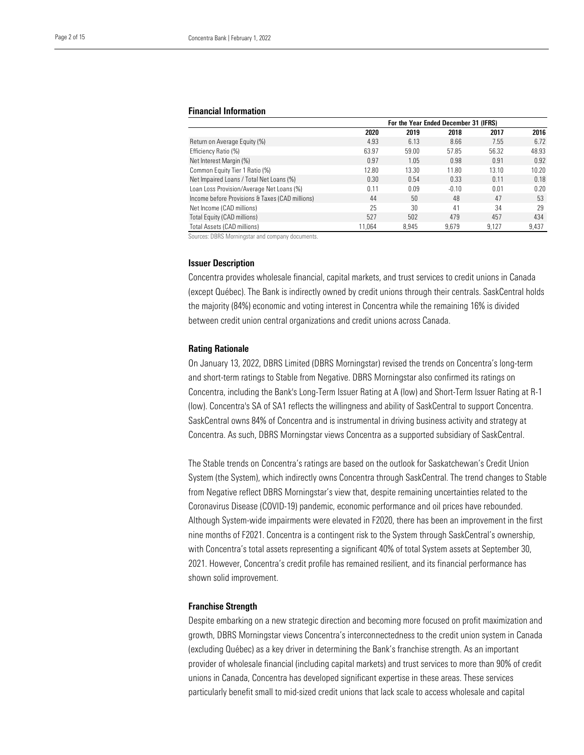#### Financial Information

|                                                 | For the Year Ended December 31 (IFRS) |       |         |       |       |
|-------------------------------------------------|---------------------------------------|-------|---------|-------|-------|
|                                                 | 2020                                  | 2019  | 2018    | 2017  | 2016  |
| Return on Average Equity (%)                    | 4.93                                  | 6.13  | 8.66    | 7.55  | 6.72  |
| Efficiency Ratio (%)                            | 63.97                                 | 59.00 | 57.85   | 56.32 | 48.93 |
| Net Interest Margin (%)                         | 0.97                                  | 1.05  | 0.98    | 0.91  | 0.92  |
| Common Equity Tier 1 Ratio (%)                  | 12.80                                 | 13.30 | 11.80   | 13.10 | 10.20 |
| Net Impaired Loans / Total Net Loans (%)        | 0.30                                  | 0.54  | 0.33    | 0.11  | 0.18  |
| Loan Loss Provision/Average Net Loans (%)       | 0.11                                  | 0.09  | $-0.10$ | 0.01  | 0.20  |
| Income before Provisions & Taxes (CAD millions) | 44                                    | 50    | 48      | 47    | 53    |
| Net Income (CAD millions)                       | 25                                    | 30    | 41      | 34    | 29    |
| Total Equity (CAD millions)                     | 527                                   | 502   | 479     | 457   | 434   |
| Total Assets (CAD millions)                     | 11.064                                | 8.945 | 9.679   | 9.127 | 9.437 |

Sources: DBRS Morningstar and company documents.

#### Issuer Description

Concentra provides wholesale financial, capital markets, and trust services to credit unions in Canada (except Québec). The Bank is indirectly owned by credit unions through their centrals. SaskCentral holds the majority (84%) economic and voting interest in Concentra while the remaining 16% is divided between credit union central organizations and credit unions across Canada.

#### Rating Rationale

On January 13, 2022, DBRS Limited (DBRS Morningstar) revised the trends on Concentra's long-term and short-term ratings to Stable from Negative. DBRS Morningstar also confirmed its ratings on Concentra, including the Bank's Long-Term Issuer Rating at A (low) and Short-Term Issuer Rating at R-1 (low). Concentra's SA of SA1 reflects the willingness and ability of SaskCentral to support Concentra. SaskCentral owns 84% of Concentra and is instrumental in driving business activity and strategy at Concentra. As such, DBRS Morningstar views Concentra as a supported subsidiary of SaskCentral.

The Stable trends on Concentra's ratings are based on the outlook for Saskatchewan's Credit Union System (the System), which indirectly owns Concentra through SaskCentral. The trend changes to Stable from Negative reflect DBRS Morningstar's view that, despite remaining uncertainties related to the Coronavirus Disease (COVID-19) pandemic, economic performance and oil prices have rebounded. Although System-wide impairments were elevated in F2020, there has been an improvement in the first nine months of F2021. Concentra is a contingent risk to the System through SaskCentral's ownership, with Concentra's total assets representing a significant 40% of total System assets at September 30, 2021. However, Concentra's credit profile has remained resilient, and its financial performance has shown solid improvement. see the mid-mid-sized credit small to mid-size and the mid-size of the mid-size of the mid-size of the mid-size of the mid-size of the mid-size of the mid-size of the mid-size of the mid-size of the mid-size of the mid-si

#### Franchise Strength

Despite embarking on a new strategic direction and becoming more focused on profit maximization and growth, DBRS Morningstar views Concentra's interconnectedness to the credit union system in Canada (excluding Québec) as a key driver in determining the Bank's franchise strength. As an important provider of wholesale financial (including capital markets) and trust services to more than 90% of credit unions in Canada, Concentra has developed significant expertise in these areas. These services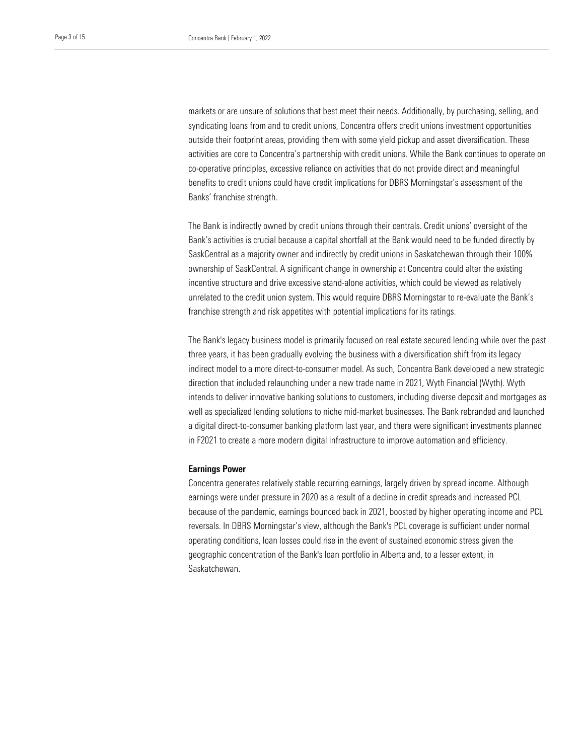syndicating loans from and to credit unions, Concentra offers credit unions investment opportunities outside their footprint areas, providing them with some yield pickup and asset diversification. These co-operative principles, excessive reliance on activities that do not provide direct and meaningful benefits to credit unions could have credit implications for DBRS Morningstar's assessment of the markets or are unsure of solutions that best meet their needs. Additionally, by purchasing, selling, and activities are core to Concentra's partnership with credit unions. While the Bank continues to operate on Banks' franchise strength.

The Bank is indirectly owned by credit unions through their centrals. Credit unions' oversight of the Bank's activities is crucial because a capital shortfall at the Bank would need to be funded directly by SaskCentral as a majority owner and indirectly by credit unions in Saskatchewan through their 100% ownership of SaskCentral. A significant change in ownership at Concentra could alter the existing incentive structure and drive excessive stand-alone activities, which could be viewed as relatively unrelated to the credit union system. This would require DBRS Morningstar to re-evaluate the Bank's franchise strength and risk appetites with potential implications for its ratings.

The Bank's legacy business model is primarily focused on real estate secured lending while over the past three years, it has been gradually evolving the business with a diversification shift from its legacy indirect model to a more direct-to-consumer model. As such, Concentra Bank developed a new strategic direction that included relaunching under a new trade name in 2021, Wyth Financial (Wyth). Wyth intends to deliver innovative banking solutions to customers, including diverse deposit and mortgages as well as specialized lending solutions to niche mid-market businesses. The Bank rebranded and launched a digital direct-to-consumer banking platform last year, and there were significant investments planned in F2021 to create a more modern digital infrastructure to improve automation and efficiency.

#### Earnings Power

Concentra generates relatively stable recurring earnings, largely driven by spread income. Although earnings were under pressure in 2020 as a result of a decline in credit spreads and increased PCL because of the pandemic, earnings bounced back in 2021, boosted by higher operating income and PCL reversals. In DBRS Morningstar's view, although the Bank's PCL coverage is sufficient under normal operating conditions, loan losses could rise in the event of sustained economic stress given the geographic concentration of the Bank's loan portfolio in Alberta and, to a lesser extent, in Saskatchewan.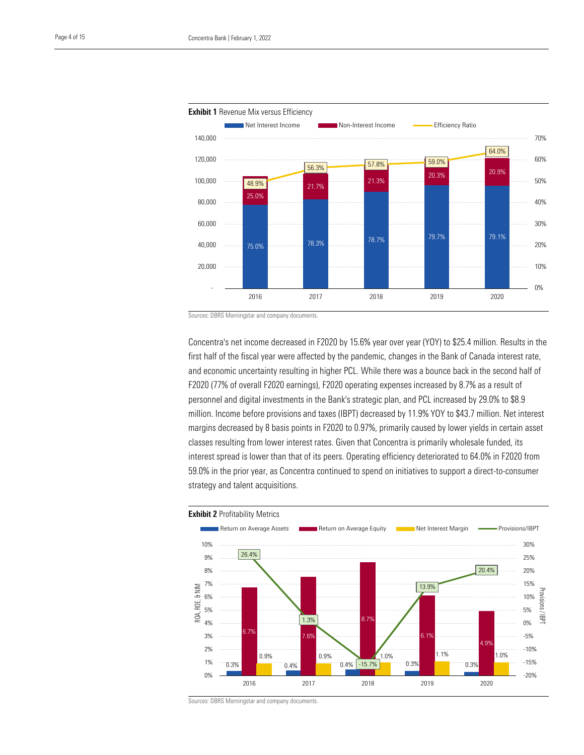Healthcare Observer | 1 February 2022





Sources: DBRS Morningstar and company documents.

Concentra's net income decreased in F2020 by 15.6% year over year (YOY) to \$25.4 million. Results in the first half of the fiscal year were affected by the pandemic, changes in the Bank of Canada interest rate, and economic uncertainty resulting in higher PCL. While there was a bounce back in the second half of F2020 (77% of overall F2020 earnings), F2020 operating expenses increased by 8.7% as a result of personnel and digital investments in the Bank's strategic plan, and PCL increased by 29.0% to \$8.9 million. Income before provisions and taxes (IBPT) decreased by 11.9% YOY to \$43.7 million. Net interest margins decreased by 8 basis points in F2020 to 0.97%, primarily caused by lower yields in certain asset classes resulting from lower interest rates. Given that Concentra is primarily wholesale funded, its interest spread is lower than that of its peers. Operating efficiency deteriorated to 64.0% in F2020 from 59.0% in the prior year, as Concentra continued to spend on initiatives to support a direct-to-consumer strategy and talent acquisitions.



Sources: DBRS Morningstar and company documents.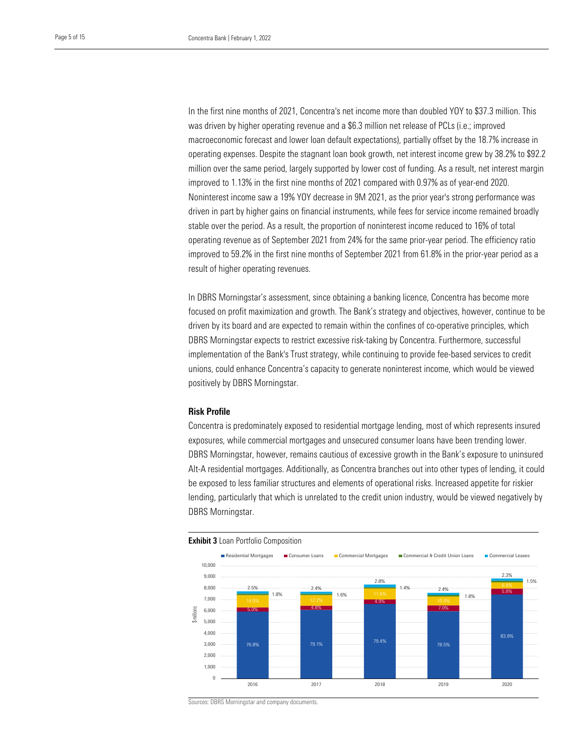was driven by higher operating revenue and a \$6.3 million net release of PCLs (i.e.; improved macroeconomic forecast and lower loan default expectations), partially offset by the 18.7% increase in million over the same period, largely supported by lower cost of funding. As a result, net interest margin improved to 1.13% in the first nine months of 2021 compared with 0.97% as of year-end 2020. In the first nine months of 2021, Concentra's net income more than doubled YOY to \$37.3 million. This operating expenses. Despite the stagnant loan book growth, net interest income grew by 38.2% to \$92.2 Noninterest income saw a 19% YOY decrease in 9M 2021, as the prior year's strong performance was driven in part by higher gains on financial instruments, while fees for service income remained broadly stable over the period. As a result, the proportion of noninterest income reduced to 16% of total operating revenue as of September 2021 from 24% for the same prior-year period. The efficiency ratio improved to 59.2% in the first nine months of September 2021 from 61.8% in the prior-year period as a result of higher operating revenues.

In DBRS Morningstar's assessment, since obtaining a banking licence, Concentra has become more focused on profit maximization and growth. The Bank's strategy and objectives, however, continue to be driven by its board and are expected to remain within the confines of co-operative principles, which DBRS Morningstar expects to restrict excessive risk-taking by Concentra. Furthermore, successful implementation of the Bank's Trust strategy, while continuing to provide fee-based services to credit unions, could enhance Concentra's capacity to generate noninterest income, which would be viewed positively by DBRS Morningstar.

#### Risk Profile

Concentra is predominately exposed to residential mortgage lending, most of which represents insured exposures, while commercial mortgages and unsecured consumer loans have been trending lower. DBRS Morningstar, however, remains cautious of excessive growth in the Bank's exposure to uninsured Alt-A residential mortgages. Additionally, as Concentra branches out into other types of lending, it could be exposed to less familiar structures and elements of operational risks. Increased appetite for riskier lending, particularly that which is unrelated to the credit union industry, would be viewed negatively by DBRS Morningstar.



Sources: DBRS Morningstar and company documents.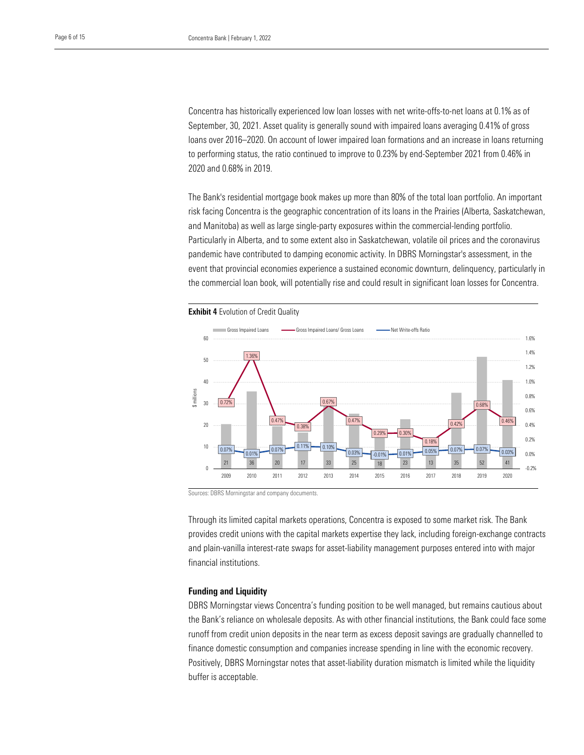September, 30, 2021. Asset quality is generally sound with impaired loans averaging 0.41% of gross loans over 2016–2020. On account of lower impaired loan formations and an increase in loans returning 2020 and 0.68% in 2019. Concentra has historically experienced low loan losses with net write-offs-to-net loans at 0.1% as of to performing status, the ratio continued to improve to 0.23% by end-September 2021 from 0.46% in

The Bank's residential mortgage book makes up more than 80% of the total loan portfolio. An important risk facing Concentra is the geographic concentration of its loans in the Prairies (Alberta, Saskatchewan, and Manitoba) as well as large single-party exposures within the commercial-lending portfolio. Particularly in Alberta, and to some extent also in Saskatchewan, volatile oil prices and the coronavirus pandemic have contributed to damping economic activity. In DBRS Morningstar's assessment, in the event that provincial economies experience a sustained economic downturn, delinquency, particularly in the commercial loan book, will potentially rise and could result in significant loan losses for Concentra.



Sources: DBRS Morningstar and company documents.

Through its limited capital markets operations, Concentra is exposed to some market risk. The Bank provides credit unions with the capital markets expertise they lack, including foreign-exchange contracts and plain-vanilla interest-rate swaps for asset-liability management purposes entered into with major financial institutions.

#### Funding and Liquidity

DBRS Morningstar views Concentra's funding position to be well managed, but remains cautious about the Bank's reliance on wholesale deposits. As with other financial institutions, the Bank could face some runoff from credit union deposits in the near term as excess deposit savings are gradually channelled to finance domestic consumption and companies increase spending in line with the economic recovery. Positively, DBRS Morningstar notes that asset-liability duration mismatch is limited while the liquidity buffer is acceptable.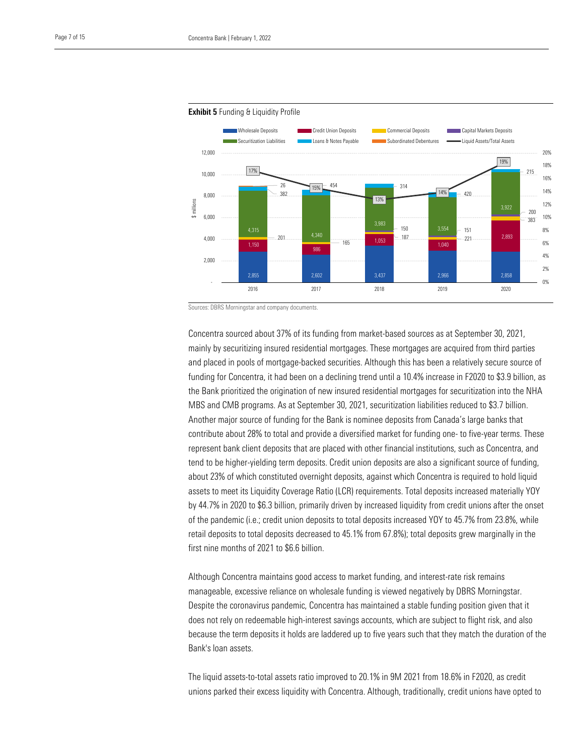



Healthcare Observer | 1 February 2022

Sources: DBRS Morningstar and company documents.

Concentra sourced about 37% of its funding from market-based sources as at September 30, 2021, mainly by securitizing insured residential mortgages. These mortgages are acquired from third parties and placed in pools of mortgage-backed securities. Although this has been a relatively secure source of funding for Concentra, it had been on a declining trend until a 10.4% increase in F2020 to \$3.9 billion, as the Bank prioritized the origination of new insured residential mortgages for securitization into the NHA MBS and CMB programs. As at September 30, 2021, securitization liabilities reduced to \$3.7 billion. Another major source of funding for the Bank is nominee deposits from Canada's large banks that contribute about 28% to total and provide a diversified market for funding one- to five-year terms. These represent bank client deposits that are placed with other financial institutions, such as Concentra, and tend to be higher-yielding term deposits. Credit union deposits are also a significant source of funding, about 23% of which constituted overnight deposits, against which Concentra is required to hold liquid assets to meet its Liquidity Coverage Ratio (LCR) requirements. Total deposits increased materially YOY by 44.7% in 2020 to \$6.3 billion, primarily driven by increased liquidity from credit unions after the onset of the pandemic (i.e.; credit union deposits to total deposits increased YOY to 45.7% from 23.8%, while retail deposits to total deposits decreased to 45.1% from 67.8%); total deposits grew marginally in the first nine months of 2021 to \$6.6 billion.

Although Concentra maintains good access to market funding, and interest-rate risk remains manageable, excessive reliance on wholesale funding is viewed negatively by DBRS Morningstar. Despite the coronavirus pandemic, Concentra has maintained a stable funding position given that it does not rely on redeemable high-interest savings accounts, which are subject to flight risk, and also because the term deposits it holds are laddered up to five years such that they match the duration of the Bank's loan assets.

The liquid assets-to-total assets ratio improved to 20.1% in 9M 2021 from 18.6% in F2020, as credit unions parked their excess liquidity with Concentra. Although, traditionally, credit unions have opted to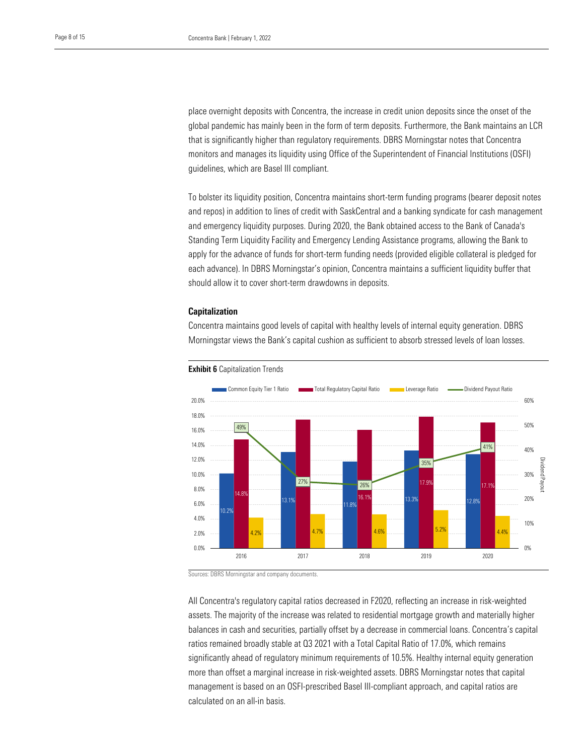global pandemic has mainly been in the form of term deposits. Furthermore, the Bank maintains an LCR that is significantly higher than regulatory requirements. DBRS Morningstar notes that Concentra guidelines, which are Basel III compliant. place overnight deposits with Concentra, the increase in credit union deposits since the onset of the monitors and manages its liquidity using Office of the Superintendent of Financial Institutions (OSFI)

To bolster its liquidity position, Concentra maintains short-term funding programs (bearer deposit notes and repos) in addition to lines of credit with SaskCentral and a banking syndicate for cash management and emergency liquidity purposes. During 2020, the Bank obtained access to the Bank of Canada's Standing Term Liquidity Facility and Emergency Lending Assistance programs, allowing the Bank to apply for the advance of funds for short-term funding needs (provided eligible collateral is pledged for each advance). In DBRS Morningstar's opinion, Concentra maintains a sufficient liquidity buffer that should allow it to cover short-term drawdowns in deposits.

#### Capitalization

Concentra maintains good levels of capital with healthy levels of internal equity generation. DBRS Morningstar views the Bank's capital cushion as sufficient to absorb stressed levels of loan losses.



#### **Exhibit 6** Capitalization Trends

Sources: DBRS Morningstar and company documents.

All Concentra's regulatory capital ratios decreased in F2020, reflecting an increase in risk-weighted assets. The majority of the increase was related to residential mortgage growth and materially higher balances in cash and securities, partially offset by a decrease in commercial loans. Concentra's capital ratios remained broadly stable at Q3 2021 with a Total Capital Ratio of 17.0%, which remains significantly ahead of regulatory minimum requirements of 10.5%. Healthy internal equity generation more than offset a marginal increase in risk-weighted assets. DBRS Morningstar notes that capital management is based on an OSFI-prescribed Basel III-compliant approach, and capital ratios are calculated on an all-in basis.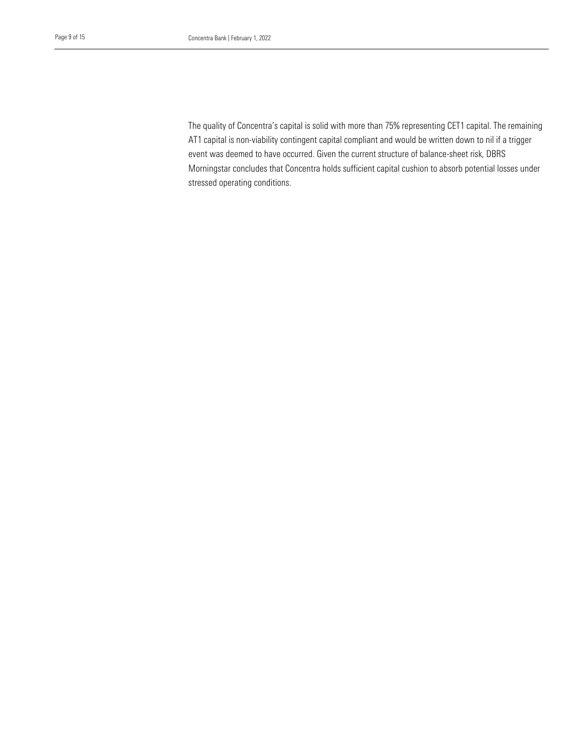The quality of Concentra's capital is solid with more than 75% representing CET1 capital. The remaining AT1 capital is non-viability contingent capital compliant and would be written down to nil if a trigger Morningstar concludes that Concentra holds sufficient capital cushion to absorb potential losses under stressed operating conditions. event was deemed to have occurred. Given the current structure of balance-sheet risk, DBRS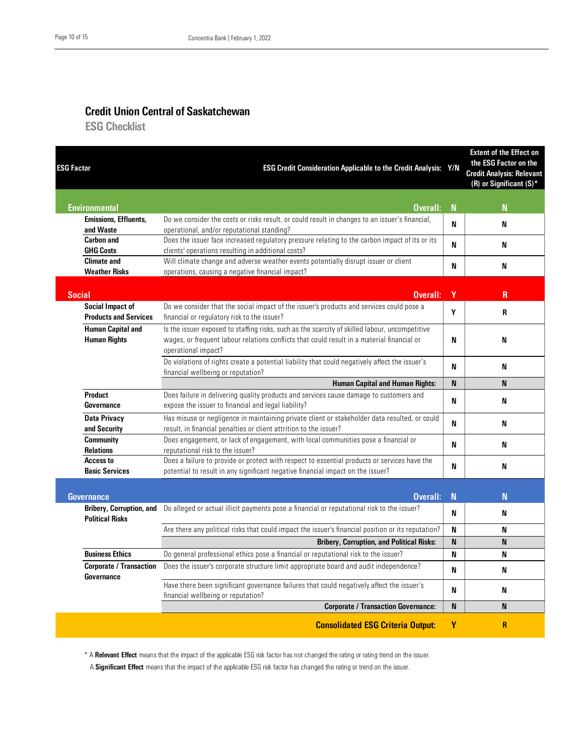### Credit Union Central of Saskatchewan

**ESG Checklist** 

| <b>ESG Factor</b>                                                       | ESG Credit Consideration Applicable to the Credit Analysis: Y/N                                                                                                                                                     |             | <b>Extent of the Effect on</b><br>the ESG Factor on the<br><b>Credit Analysis: Relevant</b><br>(R) or Significant $(S)^*$ |
|-------------------------------------------------------------------------|---------------------------------------------------------------------------------------------------------------------------------------------------------------------------------------------------------------------|-------------|---------------------------------------------------------------------------------------------------------------------------|
| <b>Environmental</b>                                                    | Overall:                                                                                                                                                                                                            | $\mathbf N$ | N                                                                                                                         |
| <b>Emissions, Effluents,</b><br>and Waste                               | Do we consider the costs or risks result, or could result in changes to an issuer's financial,<br>operational, and/or reputational standing?                                                                        | N           | N                                                                                                                         |
| <b>Carbon and</b><br><b>GHG Costs</b>                                   | Does the issuer face increased regulatory pressure relating to the carbon impact of its or its<br>clients' operations resulting in additional costs?                                                                | N           | N                                                                                                                         |
| <b>Climate and</b>                                                      | Will climate change and adverse weather events potentially disrupt issuer or client                                                                                                                                 |             |                                                                                                                           |
| <b>Weather Risks</b>                                                    | operations, causing a negative financial impact?                                                                                                                                                                    | N           | N                                                                                                                         |
| <b>Social</b>                                                           | Overall:                                                                                                                                                                                                            | Y           | R                                                                                                                         |
| <b>Social Impact of</b><br><b>Products and Services</b>                 | Do we consider that the social impact of the issuer's products and services could pose a<br>financial or regulatory risk to the issuer?                                                                             | Υ           | R                                                                                                                         |
| <b>Human Capital and</b><br><b>Human Rights</b>                         | Is the issuer exposed to staffing risks, such as the scarcity of skilled labour, uncompetitive<br>wages, or frequent labour relations conflicts that could result in a material financial or<br>operational impact? | N           | N                                                                                                                         |
|                                                                         | Do violations of rights create a potential liability that could negatively affect the issuer's<br>financial wellbeing or reputation?                                                                                | N           | N                                                                                                                         |
|                                                                         | <b>Human Capital and Human Rights:</b>                                                                                                                                                                              | <b>N</b>    | N                                                                                                                         |
| Product<br>Governance                                                   | Does failure in delivering quality products and services cause damage to customers and<br>expose the issuer to financial and legal liability?                                                                       | N           | N                                                                                                                         |
| <b>Data Privacy</b><br>and Security                                     | Has misuse or negligence in maintaining private client or stakeholder data resulted, or could<br>result, in financial penalties or client attrition to the issuer?                                                  | N           | N                                                                                                                         |
| <b>Community</b><br><b>Relations</b>                                    | Does engagement, or lack of engagement, with local communities pose a financial or<br>reputational risk to the issuer?                                                                                              | N           | N                                                                                                                         |
| <b>Access to</b><br><b>Basic Services</b>                               | Does a failure to provide or protect with respect to essential products or services have the<br>potential to result in any significant negative financial impact on the issuer?                                     | N           | N                                                                                                                         |
|                                                                         | Overall:                                                                                                                                                                                                            | $\mathbf N$ | N                                                                                                                         |
| Governance<br><b>Bribery, Corruption, and</b><br><b>Political Risks</b> | Do alleged or actual illicit payments pose a financial or reputational risk to the issuer?                                                                                                                          | N           | N                                                                                                                         |
|                                                                         | Are there any political risks that could impact the issuer's financial position or its reputation?                                                                                                                  | N           | N                                                                                                                         |
|                                                                         | <b>Bribery, Corruption, and Political Risks:</b>                                                                                                                                                                    | N           | N                                                                                                                         |
| <b>Business Ethics</b>                                                  | Do general professional ethics pose a financial or reputational risk to the issuer?                                                                                                                                 | N           | N                                                                                                                         |
| <b>Corporate / Transaction</b><br>Governance                            | Does the issuer's corporate structure limit appropriate board and audit independence?                                                                                                                               | N           | N                                                                                                                         |
|                                                                         | Have there been significant governance failures that could negatively affect the issuer's<br>financial wellbeing or reputation?                                                                                     | N           | N                                                                                                                         |
|                                                                         | <b>Corporate / Transaction Governance:</b>                                                                                                                                                                          | <b>N</b>    | N                                                                                                                         |
|                                                                         | <b>Consolidated ESG Criteria Output:</b>                                                                                                                                                                            | Y           | $\overline{R}$                                                                                                            |

\* A Relevant Effect means that the impact of the applicable ESG risk factor has not changed the rating or rating trend on the issuer.

A Significant Effect means that the impact of the applicable ESG risk factor has changed the rating or trend on the issuer.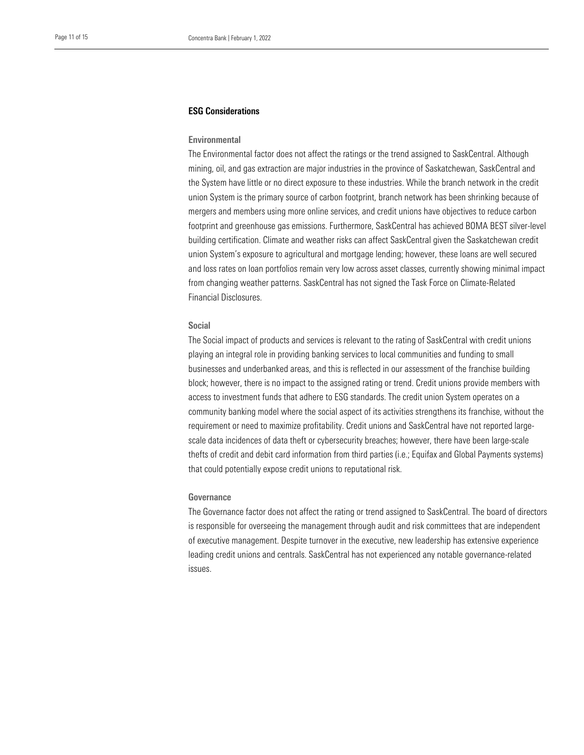#### ESG Considerations

### Environmental

mining, oil, and gas extraction are major industries in the province of Saskatchewan, SaskCentral and the System have little or no direct exposure to these industries. While the branch network in the credit The Environmental factor does not affect the ratings or the trend assigned to SaskCentral. Although union System is the primary source of carbon footprint, branch network has been shrinking because of mergers and members using more online services, and credit unions have objectives to reduce carbon footprint and greenhouse gas emissions. Furthermore, SaskCentral has achieved BOMA BEST silver-level building certification. Climate and weather risks can affect SaskCentral given the Saskatchewan credit union System's exposure to agricultural and mortgage lending; however, these loans are well secured and loss rates on loan portfolios remain very low across asset classes, currently showing minimal impact from changing weather patterns. SaskCentral has not signed the Task Force on Climate-Related Financial Disclosures.

#### Social

The Social impact of products and services is relevant to the rating of SaskCentral with credit unions playing an integral role in providing banking services to local communities and funding to small businesses and underbanked areas, and this is reflected in our assessment of the franchise building block; however, there is no impact to the assigned rating or trend. Credit unions provide members with access to investment funds that adhere to ESG standards. The credit union System operates on a community banking model where the social aspect of its activities strengthens its franchise, without the requirement or need to maximize profitability. Credit unions and SaskCentral have not reported largescale data incidences of data theft or cybersecurity breaches; however, there have been large-scale thefts of credit and debit card information from third parties (i.e.; Equifax and Global Payments systems) that could potentially expose credit unions to reputational risk.

#### Governance

The Governance factor does not affect the rating or trend assigned to SaskCentral. The board of directors is responsible for overseeing the management through audit and risk committees that are independent of executive management. Despite turnover in the executive, new leadership has extensive experience leading credit unions and centrals. SaskCentral has not experienced any notable governance-related issues.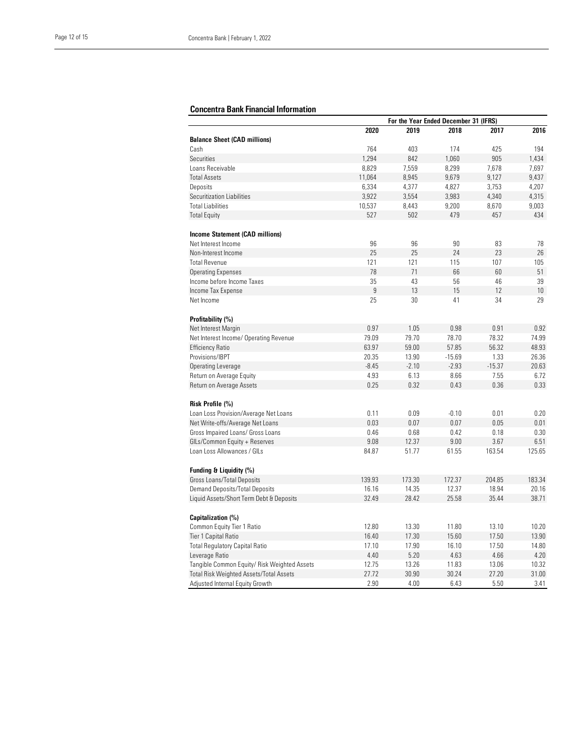## Concentra Bank Financial Information

|                                                | For the Year Ended December 31 (IFRS) |         |          |          |        |
|------------------------------------------------|---------------------------------------|---------|----------|----------|--------|
|                                                | 2020                                  | 2019    | 2018     | 2017     | 2016   |
| <b>Balance Sheet (CAD millions)</b>            |                                       |         |          |          |        |
| Cash                                           | 764                                   | 403     | 174      | 425      | 194    |
| Securities                                     | 1,294                                 | 842     | 1,060    | 905      | 1,434  |
| Loans Receivable                               | 8,829                                 | 7,559   | 8,299    | 7,678    | 7,697  |
| <b>Total Assets</b>                            | 11,064                                | 8,945   | 9,679    | 9,127    | 9,437  |
| Deposits                                       | 6,334                                 | 4,377   | 4,827    | 3,753    | 4,207  |
| Securitization Liabilities                     | 3,922                                 | 3,554   | 3,983    | 4,340    | 4,315  |
| <b>Total Liabilities</b>                       | 10,537                                | 8,443   | 9,200    | 8,670    | 9,003  |
| <b>Total Equity</b>                            | 527                                   | 502     | 479      | 457      | 434    |
|                                                |                                       |         |          |          |        |
| <b>Income Statement (CAD millions)</b>         |                                       |         |          |          |        |
| Net Interest Income                            | 96                                    | 96      | 90       | 83       | 78     |
| Non-Interest Income                            | 25                                    | 25      | 24       | 23       | 26     |
| <b>Total Revenue</b>                           | 121                                   | 121     | 115      | 107      | 105    |
| <b>Operating Expenses</b>                      | 78                                    | 71      | 66       | 60       | 51     |
| Income before Income Taxes                     | 35                                    | 43      | 56       | 46       | 39     |
| Income Tax Expense                             | 9                                     | 13      | 15       | 12       | 10     |
| Net Income                                     | 25                                    | 30      | 41       | 34       | 29     |
| Profitability (%)                              |                                       |         |          |          |        |
| Net Interest Margin                            | 0.97                                  | 1.05    | 0.98     | 0.91     | 0.92   |
| Net Interest Income/ Operating Revenue         | 79.09                                 | 79.70   | 78.70    | 78.32    | 74.99  |
| <b>Efficiency Ratio</b>                        | 63.97                                 | 59.00   | 57.85    | 56.32    | 48.93  |
| Provisions/IBPT                                | 20.35                                 | 13.90   | $-15.69$ | 1.33     | 26.36  |
| Operating Leverage                             | $-8.45$                               | $-2.10$ | $-2.93$  | $-15.37$ | 20.63  |
| Return on Average Equity                       | 4.93                                  | 6.13    | 8.66     | 7.55     | 6.72   |
| Return on Average Assets                       | 0.25                                  | 0.32    | 0.43     | 0.36     | 0.33   |
|                                                |                                       |         |          |          |        |
| Risk Profile (%)                               |                                       |         |          |          |        |
| Loan Loss Provision/Average Net Loans          | 0.11                                  | 0.09    | $-0.10$  | 0.01     | 0.20   |
| Net Write-offs/Average Net Loans               | 0.03                                  | 0.07    | 0.07     | 0.05     | 0.01   |
| Gross Impaired Loans/ Gross Loans              | 0.46                                  | 0.68    | 0.42     | 0.18     | 0.30   |
| GILs/Common Equity + Reserves                  | 9.08                                  | 12.37   | 9.00     | 3.67     | 6.51   |
| Loan Loss Allowances / GILs                    | 84.87                                 | 51.77   | 61.55    | 163.54   | 125.65 |
| Funding & Liquidity (%)                        |                                       |         |          |          |        |
| Gross Loans/Total Deposits                     | 139.93                                | 173.30  | 172.37   | 204.85   | 183.34 |
| Demand Deposits/Total Deposits                 | 16.16                                 | 14.35   | 12.37    | 18.94    | 20.16  |
| Liquid Assets/Short Term Debt & Deposits       | 32.49                                 | 28.42   | 25.58    | 35.44    | 38.71  |
|                                                |                                       |         |          |          |        |
| Capitalization (%)                             |                                       |         |          |          |        |
| Common Equity Tier 1 Ratio                     | 12.80                                 | 13.30   | 11.80    | 13.10    | 10.20  |
| Tier 1 Capital Ratio                           | 16.40                                 | 17.30   | 15.60    | 17.50    | 13.90  |
| <b>Total Regulatory Capital Ratio</b>          | 17.10                                 | 17.90   | 16.10    | 17.50    | 14.80  |
| Leverage Ratio                                 | 4.40                                  | 5.20    | 4.63     | 4.66     | 4.20   |
| Tangible Common Equity/ Risk Weighted Assets   | 12.75                                 | 13.26   | 11.83    | 13.06    | 10.32  |
| <b>Total Risk Weighted Assets/Total Assets</b> | 27.72                                 | 30.90   | 30.24    | 27.20    | 31.00  |
| Adjusted Internal Equity Growth                | 2.90                                  | 4.00    | 6.43     | 5.50     | 3.41   |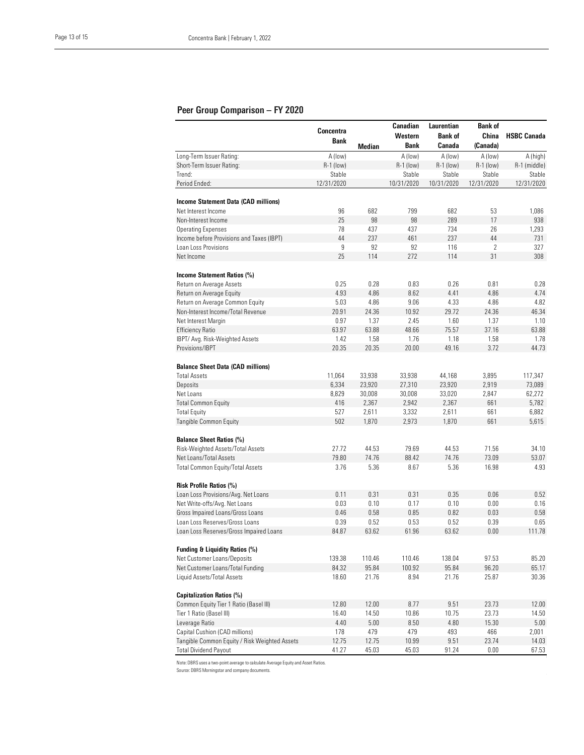#### Peer Group Comparison – FY 2020

|                                                                    | Concentra     |               | Canadian               | Laurentian        | <b>Bank of</b>      |                    |
|--------------------------------------------------------------------|---------------|---------------|------------------------|-------------------|---------------------|--------------------|
|                                                                    | Bank          |               | Western<br><b>Bank</b> | <b>Bank of</b>    | China               | <b>HSBC Canada</b> |
| Long-Term Issuer Rating:                                           | A (low)       | <b>Median</b> | A (low)                | Canada<br>A (low) | (Canada)<br>A (low) | A (high)           |
| Short-Term Issuer Rating:                                          | R-1 (low)     |               | R-1 (low)              | R-1 (low)         | $R-1$ (low)         | R-1 (middle)       |
| Trend:                                                             | Stable        |               | Stable                 | Stable            | Stable              | Stable             |
| Period Ended:                                                      | 12/31/2020    |               | 10/31/2020             | 10/31/2020        | 12/31/2020          | 12/31/2020         |
|                                                                    |               |               |                        |                   |                     |                    |
| <b>Income Statement Data (CAD millions)</b><br>Net Interest Income | 96            | 682           | 799                    | 682               | 53                  | 1,086              |
| Non-Interest Income                                                | 25            | 98            | 98                     | 289               | 17                  | 938                |
| <b>Operating Expenses</b>                                          | 78            | 437           | 437                    | 734               | 26                  | 1,293              |
| Income before Provisions and Taxes (IBPT)                          | 44            | 237           | 461                    | 237               | 44                  | 731                |
| Loan Loss Provisions                                               | 9             | 92            | 92                     | 116               | 2                   | 327                |
| Net Income                                                         | 25            | 114           | 272                    | 114               | 31                  | 308                |
|                                                                    |               |               |                        |                   |                     |                    |
| Income Statement Ratios (%)                                        |               |               |                        |                   |                     |                    |
| Return on Average Assets                                           | 0.25          | 0.28          | 0.83                   | 0.26              | 0.81                | 0.28               |
| Return on Average Equity                                           | 4.93          | 4.86          | 8.62                   | 4.41              | 4.86                | 4.74               |
| Return on Average Common Equity                                    | 5.03          | 4.86          | 9.06                   | 4.33              | 4.86                | 4.82               |
| Non-Interest Income/Total Revenue                                  | 20.91         | 24.36         | 10.92                  | 29.72             | 24.36               | 46.34              |
| Net Interest Margin                                                | 0.97          | 1.37          | 2.45                   | 1.60              | 1.37                | 1.10               |
| <b>Efficiency Ratio</b><br>IBPT/ Avg. Risk-Weighted Assets         | 63.97<br>1.42 | 63.88<br>1.58 | 48.66<br>1.76          | 75.57<br>1.18     | 37.16<br>1.58       | 63.88<br>1.78      |
| Provisions/IBPT                                                    | 20.35         | 20.35         | 20.00                  | 49.16             | 3.72                | 44.73              |
|                                                                    |               |               |                        |                   |                     |                    |
| <b>Balance Sheet Data (CAD millions)</b>                           |               |               |                        |                   |                     |                    |
| <b>Total Assets</b>                                                | 11,064        | 33,938        | 33,938                 | 44,168            | 3,895               | 117,347            |
| Deposits                                                           | 6,334         | 23,920        | 27,310                 | 23,920            | 2,919               | 73,089             |
| Net Loans                                                          | 8,829         | 30,008        | 30,008                 | 33,020            | 2,847               | 62,272             |
| <b>Total Common Equity</b>                                         | 416           | 2,367         | 2,942                  | 2,367             | 661                 | 5,782              |
| <b>Total Equity</b>                                                | 527           | 2,611         | 3,332                  | 2,611             | 661                 | 6,882              |
| Tangible Common Equity                                             | 502           | 1,870         | 2,973                  | 1,870             | 661                 | 5,615              |
| <b>Balance Sheet Ratios (%)</b>                                    |               |               |                        |                   |                     |                    |
| Risk-Weighted Assets/Total Assets                                  | 27.72         | 44.53         | 79.69                  | 44.53             | 71.56               | 34.10              |
| Net Loans/Total Assets                                             | 79.80         | 74.76         | 88.42                  | 74.76             | 73.09               | 53.07              |
| Total Common Equity/Total Assets                                   | 3.76          | 5.36          | 8.67                   | 5.36              | 16.98               | 4.93               |
| Risk Profile Ratios (%)                                            |               |               |                        |                   |                     |                    |
| Loan Loss Provisions/Avg. Net Loans                                | 0.11          | 0.31          | 0.31                   | 0.35              | 0.06                | 0.52               |
| Net Write-offs/Avg. Net Loans                                      | 0.03          | 0.10          | 0.17                   | 0.10              | 0.00                | 0.16               |
| Gross Impaired Loans/Gross Loans                                   | 0.46          | 0.58          | 0.85                   | 0.82              | 0.03                | 0.58               |
| Loan Loss Reserves/Gross Loans                                     | 0.39          | 0.52          | 0.53                   | 0.52              | 0.39                | 0.65               |
| Loan Loss Reserves/Gross Impaired Loans                            | 84.87         | 63.62         | 61.96                  | 63.62             | 0.00                | 111.78             |
| Funding & Liquidity Ratios (%)                                     |               |               |                        |                   |                     |                    |
| Net Customer Loans/Deposits                                        | 139.38        | 110.46        | 110.46                 | 138.04            | 97.53               | 85.20              |
| Net Customer Loans/Total Funding                                   | 84.32         | 95.84         | 100.92                 | 95.84             | 96.20               | 65.17              |
| Liquid Assets/Total Assets                                         | 18.60         | 21.76         | 8.94                   | 21.76             | 25.87               | 30.36              |
| Capitalization Ratios (%)                                          |               |               |                        |                   |                     |                    |
| Common Equity Tier 1 Ratio (Basel III)                             | 12.80         | 12.00         | 8.77                   | 9.51              | 23.73               | 12.00              |
| Tier 1 Ratio (Basel III)                                           | 16.40         | 14.50         | 10.86                  | 10.75             | 23.73               | 14.50              |
| Leverage Ratio                                                     | 4.40          | $5.00$        | 8.50                   | 4.80              | 15.30               | 5.00               |
| Capital Cushion (CAD millions)                                     | 178           | 479           | 479                    | 493               | 466                 | 2,001              |
| Tangible Common Equity / Risk Weighted Assets                      | 12.75         | 12.75         | 10.99                  | 9.51              | 23.74               | 14.03              |
| <b>Total Dividend Payout</b>                                       | 41.27         | 45.03         | 45.03                  | 91.24             | 0.00                | 67.53              |

Note: DBRS uses a two-point average to calculate Average Equity and Asset Ratios.

Source: DBRS Morningstar and company documents.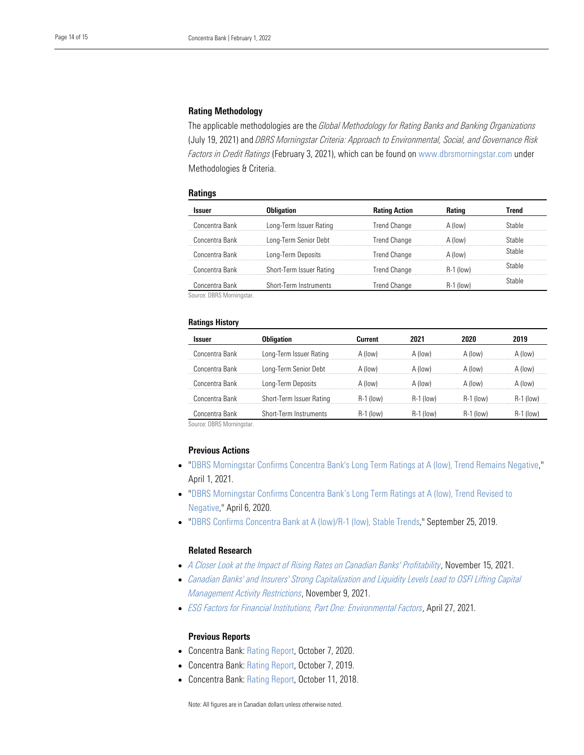#### Rating Methodology

The applicable methodologies are the *Global Methodology for Rating Banks and Banking Organizations* (July 19, 2021) and *DBRS Morningstar Criteria: Approach to Environmental, Social, and Governance Risk* Methodologies & Criteria. *Factors in Credit Ratings* (February 3, 2021), which can be found on [www.dbrsmorningstar.com](http://www.dbrsmorningstar.com/) under

#### **Ratings**

| lssuer         | Obligation               | <b>Rating Action</b> | Rating           | Trend  |
|----------------|--------------------------|----------------------|------------------|--------|
| Concentra Bank | Long-Term Issuer Rating  | <b>Trend Change</b>  | A (low)          | stahle |
| Concentra Bank | Long-Term Senior Debt    | <b>Trend Change</b>  | A (low)          | Stable |
| Concentra Bank | Long-Term Deposits       | <b>Trend Change</b>  | A (low)          | Stable |
| Concentra Bank | Short-Term Issuer Rating | Trend Change         | <b>R-1 (low)</b> | Stable |
| Concentra Bank | Short-Term Instruments   | <b>Trend Change</b>  | R-1 (low)        | Stable |

Source: DBRS Morningstar.

#### Ratings History

| Issuer         | <b>Obligation</b>        | Current     | 2021        | 2020        | 2019        |
|----------------|--------------------------|-------------|-------------|-------------|-------------|
| Concentra Bank | Long-Term Issuer Rating  | A (low)     | A (low)     | A (low)     | A (low)     |
| Concentra Bank | Long-Term Senior Debt    | A (low)     | A (low)     | A (low)     | A (low)     |
| Concentra Bank | Long-Term Deposits       | A (low)     | A (low)     | A (low)     | A (low)     |
| Concentra Bank | Short-Term Issuer Rating | $R-1$ (low) | $R-1$ (low) | $R-1$ (low) | $R-1$ (low) |
| Concentra Bank | Short-Term Instruments   | R-1 (low)   | R-1 (low)   | $H-1$ (low) | R-1 (low)   |

Source: DBRS Morningstar.

#### Previous Actions

- ["DBRS Morningstar Confirms Concentra Bank's Long Term Ratings at A \(low\), Trend Remains Negative,](https://www.dbrsmorningstar.com/research/376219/dbrs-morningstar-confirms-concentra-banks-long-term-ratings-at-a-low-trend-remains-negative)" April 1, 2021.
- "[DBRS Morningstar Confirms Concentra Bank's Long Term Ratings at A \(low\), Trend Revise](https://www.dbrsmorningstar.com/research/359357/dbrs-morningstar-confirms-concentra-banks-long-term-ratings-at-a-low-trend-revised-to-negative)d to [Negative,](https://www.dbrsmorningstar.com/research/359357/dbrs-morningstar-confirms-concentra-banks-long-term-ratings-at-a-low-trend-revised-to-negative)" April 6, 2020.
- ["DBRS Confirms Concentra Bank at A \(low\)/R-1 \(low\), Stable Trends,](https://www.dbrsmorningstar.com/research/350840/dbrs-confirms-concentra-bank-at-a-lowr-1-low-stable-trends)" September 25, 2019.

### Related Research

- *[A Closer Look at the Impact of Rising Rates on Canadian Banks' Profitability](https://www.dbrsmorningstar.com/research/388109/a-closer-look-at-the-impact-of-rising-rates-on-canadian-banks-profitability)*, November 15, 2021.
- *[Canadian Banks' and Insurers' Strong Capitalization and Liquidity Levels Lead to OSFI Lifting Capital](https://www.dbrsmorningstar.com/research/387745/canadian-banks-and-insurers-strong-capitalization-and-liquidity-levels-lead-to-osfi-lifting-capital-management-activity-restrictions)  [Management Activity Restrictions](https://www.dbrsmorningstar.com/research/387745/canadian-banks-and-insurers-strong-capitalization-and-liquidity-levels-lead-to-osfi-lifting-capital-management-activity-restrictions)*, November 9, 2021.
- *[ESG Factors for Financial Institutions, Part One: Environmental Factors](https://www.dbrsmorningstar.com/research/377394/esg-factors-for-financial-institutions-part-one-environmental-factors)*, April 27, 2021.

#### Previous Reports

- Concentra Bank: [Rating Report,](https://www.dbrsmorningstar.com/research/367990/concentra-bank-rating-report) October 7, 2020.
- Concentra Bank: [Rating Report,](https://www.dbrsmorningstar.com/research/351413/concentra-bank-rating-report) October 7, 2019.
- Concentra Bank: [Rating Report,](https://www.dbrs.com/research/334203/concentra-bank-rating-report) October 11, 2018.

Note: All figures are in Canadian dollars unless otherwise noted.